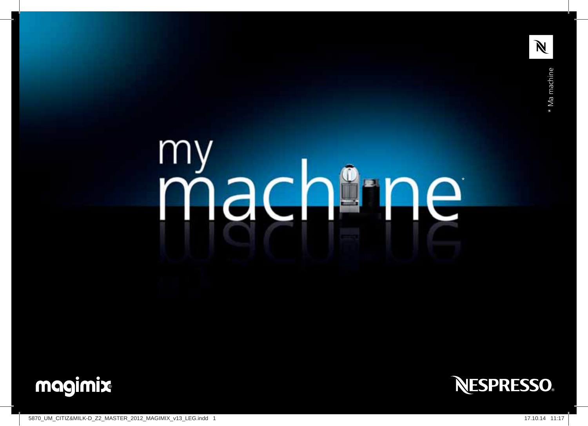

### m Jac  $\boldsymbol{\gamma}$ 电 e  $\Box$ ₩.





5870\_UM\_CITIZ&MILK-D\_Z2\_MASTER\_2012\_MAGIMIX\_v13\_LEG.indd 1 17.10.14 11:17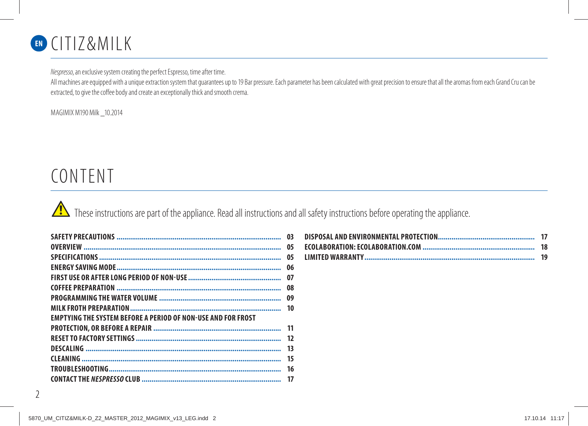

Nespresso, an exclusive system creating the perfect Espresso, time after time.

All machines are equipped with a unique extraction system that guarantees up to 19 Bar pressure. Each parameter has been calculated with great precision to ensure that all the aromas from each Grand Cru can be extracted, to give the coffee body and create an exceptionally thick and smooth crema.

MAGIMIX M190 Milk \_10.2014

## CONTENT

These instructions are part of the appliance. Read all instructions and all safety instructions before operating the appliance.

|                                                                     | 03 |
|---------------------------------------------------------------------|----|
|                                                                     | 05 |
|                                                                     | 05 |
|                                                                     |    |
|                                                                     | 07 |
|                                                                     |    |
|                                                                     | 09 |
|                                                                     |    |
| <b>EMPTYING THE SYSTEM BEFORE A PERIOD OF NON-USE AND FOR FROST</b> |    |
|                                                                     |    |
|                                                                     | 12 |
|                                                                     | 13 |
|                                                                     | 15 |
|                                                                     | 16 |
|                                                                     |    |
|                                                                     |    |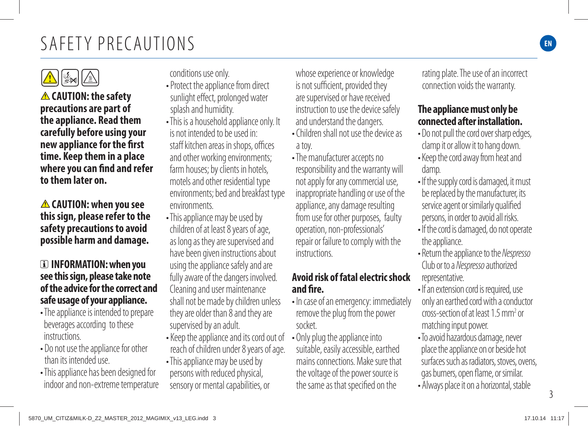

 **CAUTION: the safety precautions are part of the appliance. Read them carefully before using your new appliance for the first time. Keep them in a place where you can find and refer to them later on.**

 **CAUTION: when you see this sign, please refer to the safety precautions to avoid possible harm and damage.**

#### **INFORMATION: when you see this sign, please take note of the advice for the correct and safe usage of your appliance.**

- The appliance is intended to prepare beverages according to these instructions.
- Do not use the appliance for other than its intended use.
- This appliance has been designed for indoor and non-extreme temperature

conditions use only.

- Protect the appliance from direct sunlight effect, prolonged water splash and humidity.
- This is a household appliance only. It is not intended to be used in: staff kitchen areas in shops, offices and other working environments; farm houses; by clients in hotels, motels and other residential type environments; bed and breakfast type environments.
- This appliance may be used by children of at least 8 years of age, as long as they are supervised and have been given instructions about using the appliance safely and are fully aware of the dangers involved. Cleaning and user maintenance shall not be made by children unless they are older than 8 and they are supervised by an adult.
- Keep the appliance and its cord out of reach of children under 8 years of age.
- This appliance may be used by persons with reduced physical, sensory or mental capabilities, or

whose experience or knowledge is not sufficient, provided they are supervised or have received instruction to use the device safely and understand the dangers.

- Children shall not use the device as a toy.
- The manufacturer accepts no responsibility and the warranty will not apply for any commercial use, inappropriate handling or use of the appliance, any damage resulting from use for other purposes, faulty operation, non-professionals' repair or failure to comply with the instructions.

### **Avoid risk of fatal electric shock and fire.**

- In case of an emergency: immediately remove the plug from the power socket.
- Only plug the appliance into suitable, easily accessible, earthed mains connections. Make sure that the voltage of the power source is the same as that specified on the

rating plate. The use of an incorrect connection voids the warranty.

#### **The appliance must only be connected after installation.**

- Do not pull the cord over sharp edges, clamp it or allow it to hang down.
- Keep the cord away from heat and damp.
- If the supply cord is damaged, it must be replaced by the manufacturer, its service agent or similarly qualified persons, in order to avoid all risks.
- If the cord is damaged, do not operate the appliance.
- Return the appliance to the Nespresso Club or to a Nespresso authorized representative.
- If an extension cord is required, use only an earthed cord with a conductor cross-section of at least 1.5 mm2 or matching input power.
- To avoid hazardous damage, never place the appliance on or beside hot surfaces such as radiators, stoves, ovens, gas burners, open flame, or similar.
- Always place it on a horizontal, stable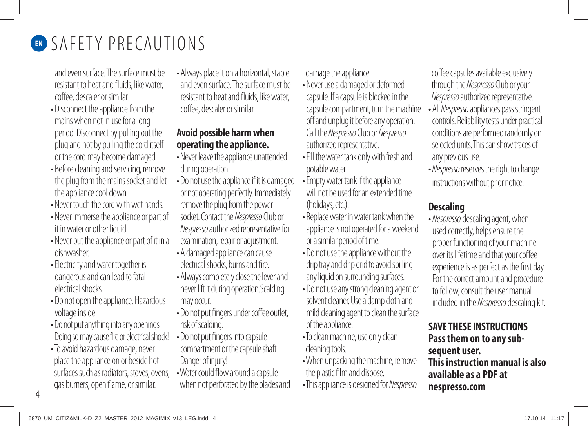

# **EN SAFETY PRECAUTIONS**

and even surface. The surface must be resistant to heat and fluids, like water, coffee, descaler or similar.

- Disconnect the appliance from the mains when not in use for a long period. Disconnect by pulling out the plug and not by pulling the cord itself or the cord may become damaged.
- Before cleaning and servicing, remove the plug from the mains socket and let the appliance cool down.
- Never touch the cord with wet hands.
- Never immerse the appliance or part of it in water or other liquid.
- Never put the appliance or part of it in a dishwasher.
- Electricity and water together is dangerous and can lead to fatal electrical shocks.
- Do not open the appliance. Hazardous voltage inside!
- Do not put anything into any openings. Doing so may cause fire or electrical shock!
- To avoid hazardous damage, never place the appliance on or beside hot surfaces such as radiators, stoves, ovens, gas burners, open flame, or similar.

• Always place it on a horizontal, stable and even surface. The surface must be resistant to heat and fluids, like water, coffee, descaler or similar.

### **Avoid possible harm when operating the appliance.**

- Never leave the appliance unattended during operation.
- Do not use the appliance if it is damaged or not operating perfectly. Immediately remove the plug from the power socket. Contact the Nespresso Club or Nespresso authorized representative for examination, repair or adjustment.
- A damaged appliance can cause electrical shocks, burns and fire.
- Always completely close the lever and never lift it during operation.Scalding may occur.
- Do not put fingers under coffee outlet, risk of scalding.
- Do not put fingers into capsule compartment or the capsule shaft. Danger of injury!
- Water could flow around a capsule when not perforated by the blades and

damage the appliance.

- Never use a damaged or deformed capsule. If a capsule is blocked in the capsule compartment, turn the machine off and unplug it before any operation. Call the Nespresso Club or Nespresso authorized representative.
- Fill the water tank only with fresh and potable water.
- Empty water tank if the appliance will not be used for an extended time (holidays, etc.).
- Replace water in water tank when the appliance is not operated for a weekend or a similar period of time.
- Do not use the appliance without the drip tray and drip grid to avoid spilling any liquid on surrounding surfaces.
- Do not use any strong cleaning agent or solvent cleaner. Use a damp cloth and mild cleaning agent to clean the surface of the appliance.
- To clean machine, use only clean cleaning tools.
- When unpacking the machine, remove the plastic film and dispose.
- This appliance is designed for Nespresso

coffee capsules available exclusively through the Nespresso Club or your Nespresso authorized representative.

- All Nespresso appliances pass stringent controls. Reliability tests under practical conditions are performed randomly on selected units. This can show traces of any previous use.
- Nespresso reserves the right to change instructions without prior notice.

### **Descaling**

• Nespresso descaling agent, when used correctly, helps ensure the proper functioning of your machine over its lifetime and that your coffee experience is as perfect as the first day. For the correct amount and procedure to follow, consult the user manual included in the Nespresso descaling kit.

#### **SAVE THESE INSTRUCTIONS Pass them on to any subsequent user. This instruction manual is also available as a PDF at nespresso.com**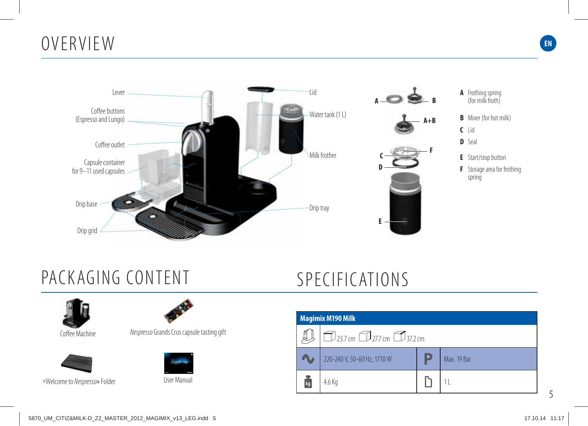## OVERVIEW



## PACKAGING CONTENT



Coffee Machine



User Manual «Welcome to Nespresso» Folder



Nespresso Grands Crus capsule tasting gift



## SPECIFICATIONS



**EN**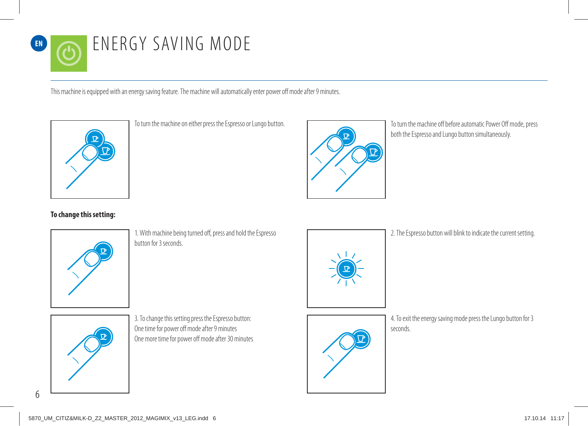# ENERGY SAVING MODE

This machine is equipped with an energy saving feature. The machine will automatically enter power off mode after 9 minutes.



To turn the machine on either press the Espresso or Lungo button.



To turn the machine off before automatic Power Off mode, press both the Espresso and Lungo button simultaneously.

#### **To change this setting:**



1. With machine being turned off, press and hold the Espresso button for 3 seconds.



2. The Espresso button will blink to indicate the current setting.



3. To change this setting press the Espresso button: One time for power off mode after 9 minutes One more time for power off mode after 30 minutes



4. To exit the energy saving mode press the Lungo button for 3 seconds.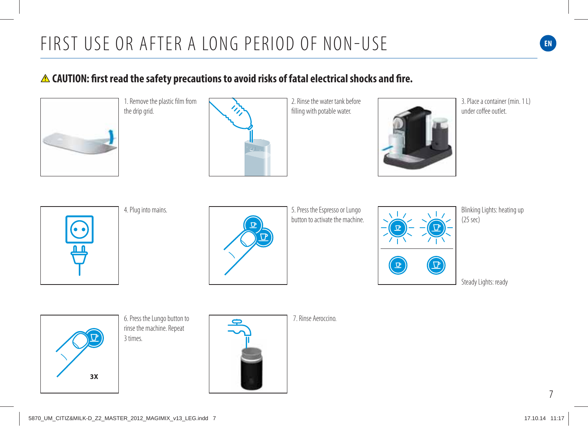### **CAUTION: first read the safety precautions to avoid risks of fatal electrical shocks and fire.**



1. Remove the plastic film from the drip grid.



2. Rinse the water tank before filling with potable water.



3. Place a container (min. 1 L) under coffee outlet.



4. Plug into mains.



5. Press the Espresso or Lungo button to activate the machine.



Blinking Lights: heating up (25 sec)

Steady Lights: ready

**3X**

6. Press the Lungo button to rinse the machine. Repeat 3 times.



7. Rinse Aeroccino.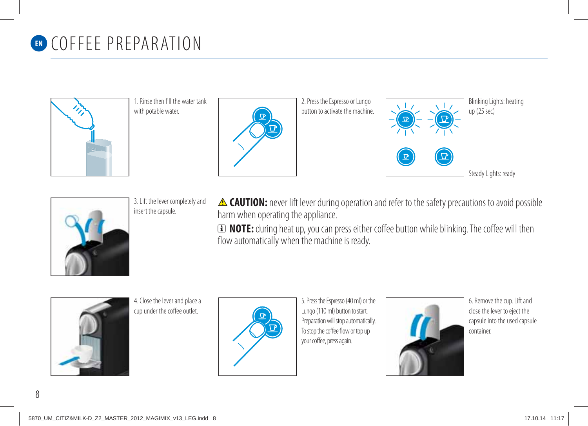# **EN** COFFEE PREPARATION





2. Press the Espresso or Lungo button to activate the machine.



Blinking Lights: heating up (25 sec)

Steady Lights: ready



3. Lift the lever completely and insert the capsule.

**A CAUTION:** never lift lever during operation and refer to the safety precautions to avoid possible harm when operating the appliance.

 **NOTE:** during heat up, you can press either coffee button while blinking. The coffee will then flow automatically when the machine is ready.

4. Close the lever and place a cup under the coffee outlet.



5. Press the Espresso (40 ml) or the Lungo (110 ml) button to start. Preparation will stop automatically. To stop the coffee flow or top up your coffee, press again.



6. Remove the cup. Lift and close the lever to eject the capsule into the used capsule container.

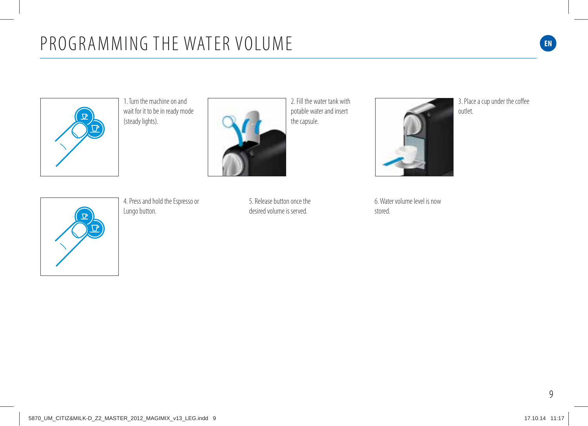



2. Fill the water tank with potable water and insert the capsule.



3. Place a cup under the coffee outlet.



4. Press and hold the Espresso or Lungo button.

5. Release button once the desired volume is served.

6. Water volume level is now stored.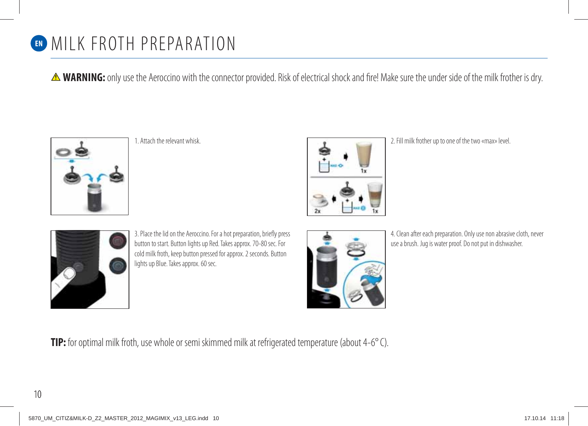

**A WARNING:** only use the Aeroccino with the connector provided. Risk of electrical shock and fire! Make sure the under side of the milk frother is dry.



1. Attach the relevant whisk.



2. Fill milk frother up to one of the two «max» level.



3. Place the lid on the Aeroccino. For a hot preparation, briefly press button to start. Button lights up Red. Takes approx. 70-80 sec. For cold milk froth, keep button pressed for approx. 2 seconds. Button lights up Blue. Takes approx. 60 sec.



4. Clean after each preparation. Only use non abrasive cloth, never use a brush. Jug is water proof. Do not put in dishwasher.

**TIP:** for optimal milk froth, use whole or semi skimmed milk at refrigerated temperature (about 4-6° C).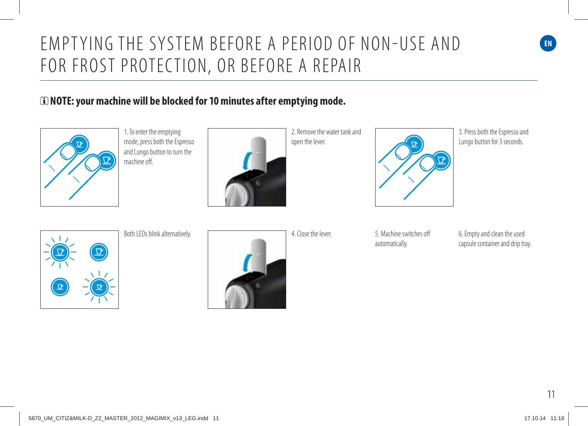### EMPT YING THE SYSTEM BEFORE A PERIOD OF NON-USE AND FOR FROST PROTECTION, OR BEFORE A REPAIR

#### **NOTE: your machine will be blocked for 10 minutes after emptying mode.**



1. To enter the emptying mode, press both the Espresso and Lungo button to turn the machine off.



2. Remove the water tank and open the lever.



3. Press both the Espresso and Lungo button for 3 seconds.

**EN**



Both LEDs blink alternatively.



automatically.

6. Empty and clean the used capsule container and drip tray.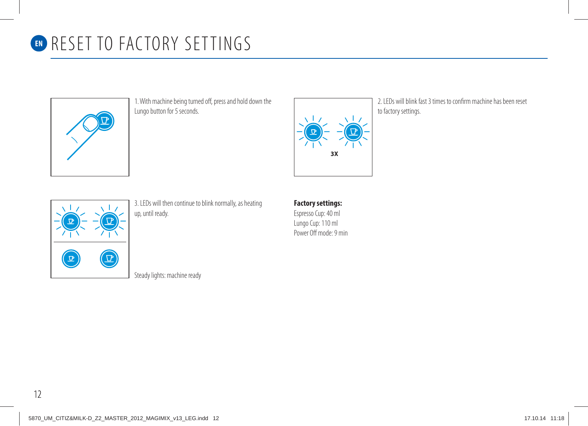

## **EN RESET TO FACTORY SETTINGS**



1. With machine being turned off, press and hold down the Lungo button for 5 seconds.



2. LEDs will blink fast 3 times to confirm machine has been reset to factory settings.



3. LEDs will then continue to blink normally, as heating up, until ready.

### **Factory settings:**

Espresso Cup: 40 ml Lungo Cup: 110 ml Power Off mode: 9 min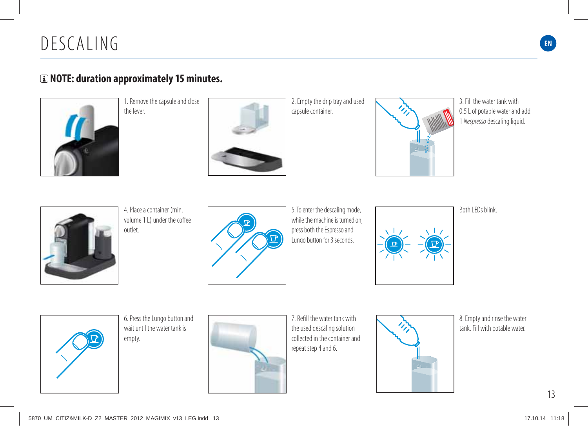## DESCALING **EN**

#### **NOTE: duration approximately 15 minutes.**



1. Remove the capsule and close the lever.



2. Empty the drip tray and used capsule container.



3. Fill the water tank with 0.5 L of potable water and add 1 Nespresso descaling liquid.



4. Place a container (min. volume 11) under the coffee outlet.



5. To enter the descaling mode, while the machine is turned on. press both the Espresso and Lungo button for 3 seconds.



Both LEDs blink.

6. Press the Lungo button and wait until the water tank is empty.



7. Refill the water tank with the used descaling solution collected in the container and repeat step 4 and 6.



8. Empty and rinse the water tank. Fill with potable water.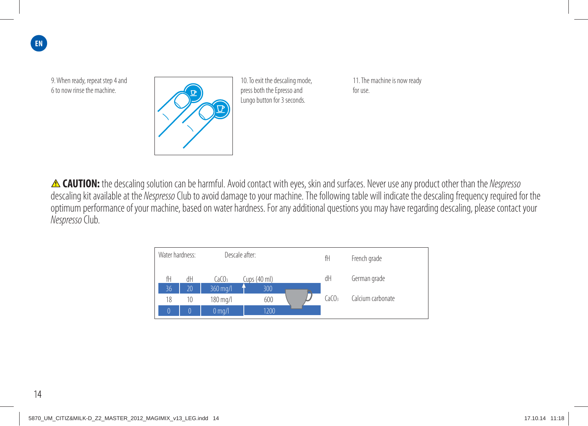**EN**

9. When ready, repeat step 4 and 6 to now rinse the machine.



10. To exit the descaling mode, press both the Epresso and Lungo button for 3 seconds.

11. The machine is now ready for use.

**A CAUTION:** the descaling solution can be harmful. Avoid contact with eyes, skin and surfaces. Never use any product other than the Nespresso descaling kit available at the Nespresso Club to avoid damage to your machine. The following table will indicate the descaling frequency required for the optimum performance of your machine, based on water hardness. For any additional questions you may have regarding descaling, please contact your Nespresso Club.

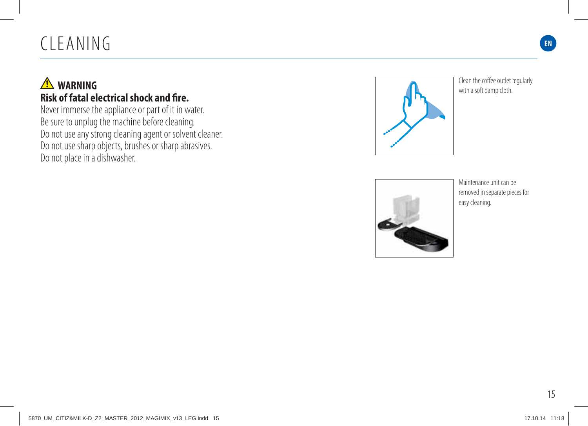# CLEANING **EN**

### **A** WARNING **Risk of fatal electrical shock and fire.**

Never immerse the appliance or part of it in water. Be sure to unplug the machine before cleaning. Do not use any strong cleaning agent or solvent cleaner. Do not use sharp objects, brushes or sharp abrasives. Do not place in a dishwasher.



Clean the coffee outlet regularly with a soft damp cloth.



Maintenance unit can be removed in separate pieces for easy cleaning.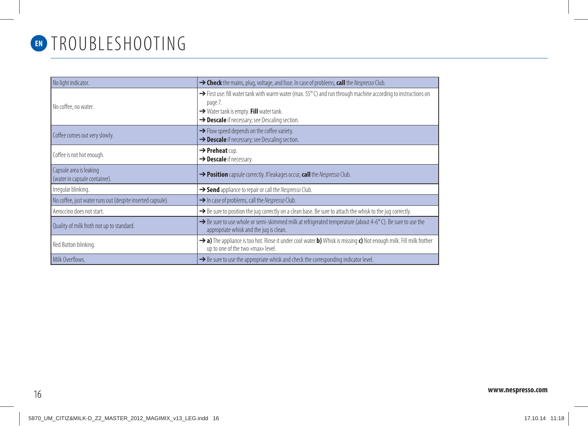

## TROUBLESHOOTING **EN**

| No light indicator.                                        | → Check the mains, plug, voltage, and fuse. In case of problems, call the Nespresso Club.                                                                                                                                                    |
|------------------------------------------------------------|----------------------------------------------------------------------------------------------------------------------------------------------------------------------------------------------------------------------------------------------|
| No coffee, no water.                                       | $\rightarrow$ First use: fill water tank with warm water (max. 55 $^{\circ}$ C) and run through machine according to instructions on<br>page 7.<br>→ Water tank is empty. Fill water tank.<br>> Descale if necessary; see Descaling section. |
| Coffee comes out very slowly.                              | $\rightarrow$ Flow speed depends on the coffee variety.<br>> Descale if necessary; see Descaling section.                                                                                                                                    |
| Coffee is not hot enough.                                  | $\rightarrow$ Preheat cup.<br>$\rightarrow$ Descale if necessary.                                                                                                                                                                            |
| Capsule area is leaking<br>(water in capsule container).   | > Position capsule correctly. If leakages occur, call the Nespresso Club.                                                                                                                                                                    |
| Irregular blinking.                                        | Send appliance to repair or call the Nespresso Club.                                                                                                                                                                                         |
| No coffee, just water runs out (despite inserted capsule). | In case of problems, call the Nespresso Club.                                                                                                                                                                                                |
| Aeroccino does not start.                                  | $\rightarrow$ Be sure to position the jug correctly on a clean base. Be sure to attach the whisk to the jug correctly.                                                                                                                       |
| Quality of milk froth not up to standard.                  | $\rightarrow$ Be sure to use whole or semi-skimmed milk at refrigerated temperature (about 4-6 $^{\circ}$ C). Be sure to use the<br>appropriate whisk and the jug is clean.                                                                  |
| Red Button blinking.                                       | > a) The appliance is too hot. Rinse it under cool water b) Whisk is missing c) Not enough milk. Fill milk frother<br>up to one of the two «max» level.                                                                                      |
| Milk Overflows.                                            | $\rightarrow$ Be sure to use the appropriate whisk and check the corresponding indicator level.                                                                                                                                              |

### 16 **www.nespresso.com**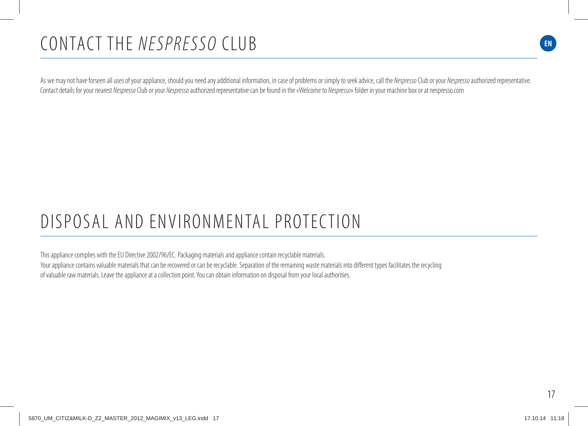## CONTACT THE NESPRESSO CLUB

As we may not have forseen all uses of your appliance, should you need any additional information, in case of problems or simply to seek advice, call the Nespresso Club or your Nespresso authorized representative. Contact details for your nearest Nespresso Club or your Nespresso authorized representative can be found in the «Welcome to Nespresso» folder in your machine box or at nespresso.com

# DISPOSAL AND ENVIRONMENTAL PROTECTION

This appliance complies with the EU Directive 2002/96/EC. Packaging materials and appliance contain recyclable materials. Your appliance contains valuable materials that can be recovered or can be recyclable. Separation of the remaining waste materials into different types facilitates the recycling of valuable raw materials. Leave the appliance at a collection point. You can obtain information on disposal from your local authorities.

**EN**

**EN**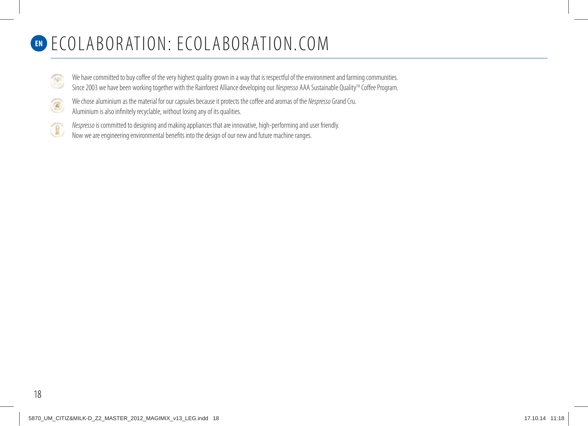## **EN** ECOLABORATION: ECOLABORATION.COM

- We have committed to buy coffee of the very highest quality grown in a way that is respectful of the environment and farming communities. **TASS** Since 2003 we have been working together with the Rainforest Alliance developing our Nespresso AAA Sustainable Quality<sup>TM</sup> Coffee Program.
- We chose aluminium as the material for our capsules because it protects the coffee and aromas of the Nespresso Grand Cru.  $\textcircled{\scriptsize s}$ 
	- Aluminium is also infinitely recyclable, without losing any of its qualities.
- Nespresso is committed to designing and making appliances that are innovative, high-performing and user friendly. 困 Now we are engineering environmental benefits into the design of our new and future machine ranges.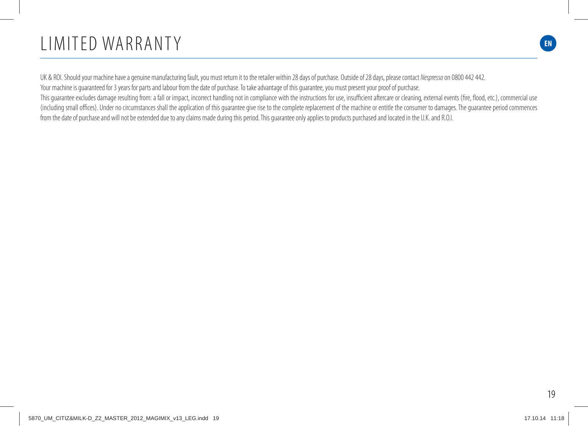## **EN** LIMITED WARRANTY

UK & ROI. Should your machine have a genuine manufacturing fault, you must return it to the retailer within 28 days of purchase. Outside of 28 days, please contact Nespresso on 0800 442 442. Your machine is guaranteed for 3 years for parts and labour from the date of purchase. To take advantage of this guarantee, you must present your proof of purchase. This guarantee excludes damage resulting from: a fall or impact, incorrect handling not in compliance with the instructions for use, insufficient aftercare or cleaning, external events (fire, flood, etc.), commercial use (including small offices). Under no circumstances shall the application of this guarantee give rise to the complete replacement of the machine or entitle the consumer to damages. The guarantee period commences from the date of purchase and will not be extended due to any claims made during this period. This guarantee only applies to products purchased and located in the U.K. and R.O.I.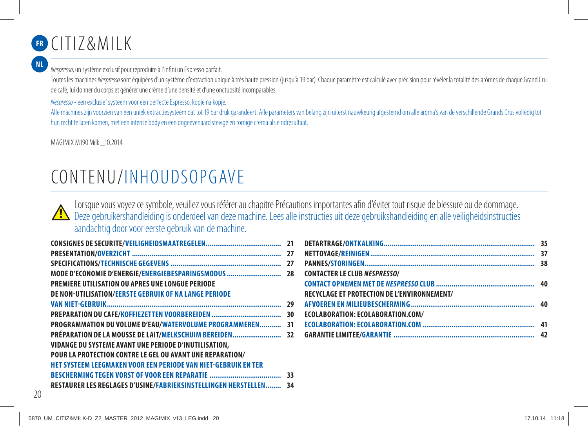# CITIZ&MILK **FR**

**NL**

Nespresso, un système exclusif pour reproduire à l'infini un Espresso parfait.

Toutes les machines Nespresso sont équipées d'un système d'extraction unique à très haute pression (jusqu'à 19 bar). Chaque paramètre est calculé avec précision pour révéler la totalité des arômes de chaque Grand Cru de café, lui donner du corps et générer une crème d'une densité et d'une onctuosité incomparables.

Nespresso - een exclusief systeem voor een perfecte Espresso, kopje na kopje.

Alle machines zijn voorzien van een uniek extractiesysteem dat tot 19 bar druk garandeert. Alle parameters van belang zijn uiterst nauwkeurig afgestemd om alle aroma's van de verschillende Grands Crus volledig tot hun recht te laten komen, met een intense body en een ongeëvenaard stevige en romige crema als eindresultaat.

MAGIMIX M190 Milk \_10.2014

# CONTENU/INHOUDSOPGAVE

Lorsque vous voyez ce symbole, veuillez vous référer au chapitre Précautions importantes afin d'éviter tout risque de blessure ou de dommage. Deze gebruikershandleiding is onderdeel van deze machine. Lees alle instructies uit deze gebruikshandleiding en alle veiligheidsinstructies aandachtig door voor eerste gebruik van de machine.

|                                                                       | 27 |
|-----------------------------------------------------------------------|----|
|                                                                       | 27 |
| MODE D'ECONOMIE D'ENERGIE/ENERGIEBESPARINGSMODUS                      | 28 |
| <b>PREMIERE UTILISATION OU APRES UNE LONGUE PERIODE</b>               |    |
| <b>DE NON-UTILISATION/EERSTE GEBRUIK OF NA LANGE PERIODE</b>          |    |
|                                                                       | 29 |
|                                                                       |    |
| <b>PROGRAMMATION DU VOLUME D'EAU/WATERVOLUME PROGRAMMEREN</b>         | 31 |
| PRÉPARATION DE LA MOUSSE DE LAIT/MELKSCHUIM BEREIDEN 32               |    |
| VIDANGE DU SYSTEME AVANT UNE PERIODE D'INUTILISATION,                 |    |
| <b>POUR LA PROTECTION CONTRE LE GEL OU AVANT UNE REPARATION/</b>      |    |
| <b>HET SYSTEEM LEEGMAKEN VOOR EEN PERIODE VAN NIET-GEBRUIK EN TER</b> |    |
|                                                                       |    |
| RESTAURER LES REGLAGES D'USINE/FABRIEKSINSTELLINGEN HERSTELLEN 34     |    |

| <b>CONTACTER LE CLUB NESPRESSO/</b>                |  |
|----------------------------------------------------|--|
|                                                    |  |
| <b>RECYCLAGE ET PROTECTION DE L'ENVIRONNEMENT/</b> |  |
|                                                    |  |
| ECOLABORATION: ECOLABORATION.COM/                  |  |
|                                                    |  |
|                                                    |  |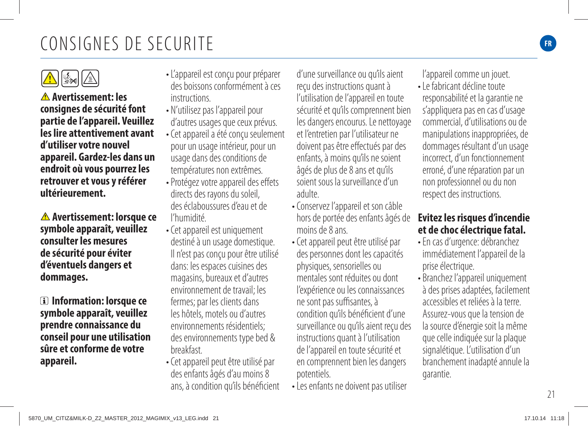## CONSIGNES DE SECURITE

 $\mathbf{A}$   $\mathbb{R}$ **Avertissement: les consignes de sécurité font partie de l'appareil. Veuillez les lire attentivement avant d'utiliser votre nouvel appareil. Gardez-les dans un** 

**endroit où vous pourrez les retrouver et vous y référer ultérieurement.**

 **Avertissement: lorsque ce symbole apparaît, veuillez consulter les mesures de sécurité pour éviter d'éventuels dangers et dommages.**

 **Information: lorsque ce symbole apparaît, veuillez prendre connaissance du conseil pour une utilisation sûre et conforme de votre appareil.**

- L'appareil est conçu pour préparer des boissons conformément à ces **instructions**
- N'utilisez pas l'appareil pour d'autres usages que ceux prévus.
- Cet appareil a été conçu seulement pour un usage intérieur, pour un usage dans des conditions de températures non extrêmes.
- Protégez votre appareil des effets directs des rayons du soleil, des éclaboussures d'eau et de l'humidité.
- Cet appareil est uniquement destiné à un usage domestique. Il n'est pas conçu pour être utilisé dans: les espaces cuisines des magasins, bureaux et d'autres environnement de travail; les fermes; par les clients dans les hôtels, motels ou d'autres environnements résidentiels; des environnements type bed & breakfast.
- Cet appareil peut être utilisé par des enfants âgés d'au moins 8 ans, à condition qu'ils bénéficient

d'une surveillance ou qu'ils aient reçu des instructions quant à l'utilisation de l'appareil en toute sécurité et qu'ils comprennent bien les dangers encourus. Le nettoyage et l'entretien par l'utilisateur ne doivent pas être effectués par des enfants, à moins qu'ils ne soient âgés de plus de 8 ans et qu'ils soient sous la surveillance d'un adulte.

- Conservez l'appareil et son câble hors de portée des enfants âgés de moins de 8 ans.
- Cet appareil peut être utilisé par des personnes dont les capacités physiques, sensorielles ou mentales sont réduites ou dont l'expérience ou les connaissances ne sont pas suffisantes, à condition qu'ils bénéficient d'une surveillance ou qu'ils aient reçu des instructions quant à l'utilisation de l'appareil en toute sécurité et en comprennent bien les dangers potentiels.
- Les enfants ne doivent pas utiliser

l'appareil comme un jouet.

• Le fabricant décline toute responsabilité et la garantie ne s'appliquera pas en cas d'usage commercial, d'utilisations ou de manipulations inappropriées, de dommages résultant d'un usage incorrect, d'un fonctionnement erroné, d'une réparation par un non professionnel ou du non respect des instructions.

#### **Evitez les risques d'incendie et de choc électrique fatal.**

- En cas d'urgence: débranchez immédiatement l'appareil de la prise électrique.
- Branchez l'appareil uniquement à des prises adaptées, facilement accessibles et reliées à la terre. Assurez-vous que la tension de la source d'énergie soit la même que celle indiquée sur la plaque signalétique. L'utilisation d'un branchement inadapté annule la garantie.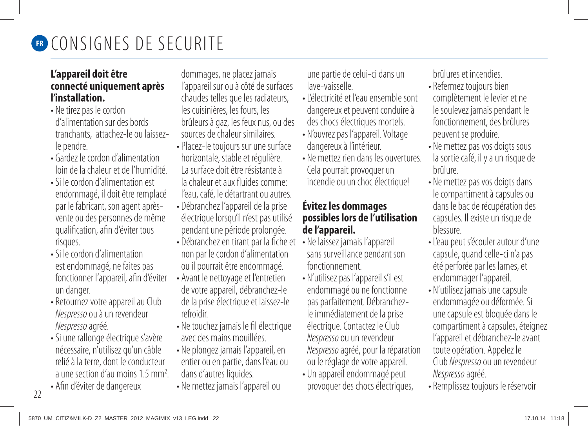

#### **L'appareil doit être connecté uniquement après l'installation.**

- Ne tirez pas le cordon d'alimentation sur des bords tranchants, attachez-le ou laissezle pendre.
- Gardez le cordon d'alimentation loin de la chaleur et de l'humidité.
- Si le cordon d'alimentation est endommagé, il doit être remplacé par le fabricant, son agent aprèsvente ou des personnes de même qualification, afin d'éviter tous risques.
- Si le cordon d'alimentation est endommagé, ne faites pas fonctionner l'appareil, afin d'éviter un danger.
- Retournez votre appareil au Club Nespresso ou à un revendeur Nespresso agréé.
- Si une rallonge électrique s'avère nécessaire, n'utilisez qu'un câble relié à la terre, dont le conducteur a une section d'au moins 1.5 mm2 .
- Afin d'éviter de dangereux

dommages, ne placez jamais l'appareil sur ou à côté de surfaces chaudes telles que les radiateurs, les cuisinières, les fours, les brûleurs à gaz, les feux nus, ou des sources dechaleur similaires.

- Placez-le toujours sur une surface horizontale, stable et régulière. La surface doit être résistante à la chaleur et aux fluides comme: l'eau, café, le détartrant ou autres.
- Débranchez l'appareil de la prise électrique lorsqu'il n'est pas utilisé pendant une période prolongée.
- Débranchez en tirant par la fiche et non par le cordon d'alimentation ou il pourrait être endommagé.
- Avant le nettoyage et l'entretien de votre appareil, débranchez-le de la prise électrique et laissez-le refroidir.
- Ne touchez jamais le fil électrique avec des mains mouillées.
- Ne plongez jamais l'appareil, en entier ou en partie, dans l'eau ou dans d'autres liquides.
- Ne mettez jamais l'appareil ou

une partie de celui-ci dans un lave-vaisselle.

- L'électricité et l'eau ensemble sont dangereux et peuvent conduire à des chocs électriques mortels.
- N'ouvrez pas l'appareil. Voltage dangereux à l'intérieur.
- Ne mettez rien dans les ouvertures. Cela pourrait provoquer un incendie ou un choc électrique!

#### **Évitez les dommages possibles lors de l'utilisation de l'appareil.**

- Ne laissez jamais l'appareil sans surveillance pendant son fonctionnement.
- N'utilisez pas l'appareil s'il est endommagé ou ne fonctionne pas parfaitement. Débranchezle immédiatement de la prise électrique. Contactez le Club Nespresso ou un revendeur Nespresso agréé, pour la réparation ou le réglage de votre appareil.
- Un appareil endommagé peut provoquer des chocs électriques,

brûlures et incendies.

- Refermez toujours bien complètement le levier et ne le soulevez jamais pendant le fonctionnement, des brûlures peuvent se produire.
- Ne mettez pas vos doigts sous la sortie café, il y a un risque de brûlure.
- Ne mettez pas vos doigts dans le compartiment à capsules ou dans le bac de récupération des capsules. Il existe un risque de blessure.
- L'eau peut s'écouler autour d'une capsule, quand celle-ci n'a pas été perforée par les lames, et endommager l'appareil.
- N'utilisez jamais une capsule endommagée ou déformée. Si une capsule est bloquée dans le compartiment à capsules, éteignez l'appareil et débranchez-le avant toute opération. Appelez le Club Nespresso ou un revendeur Nespresso agréé.
- Remplissez toujours le réservoir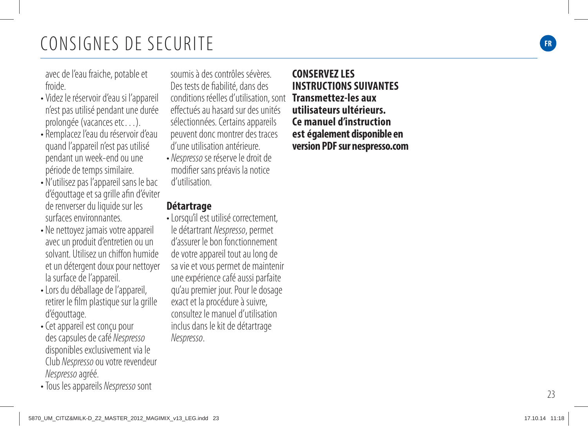# CONSIGNES DE SECURITE **FR**

avec de l'eau fraiche, potable et froide.

- Videz le réservoir d'eau si l'appareil n'est pas utilisé pendant une durée prolongée (vacances etc…).
- Remplacez l'eau du réservoir d'eau quand l'appareil n'est pas utilisé pendant un week-end ou une période de temps similaire.
- N'utilisez pas l'appareil sans le bac d'égouttage et sa grille afin d'éviter de renverser du liquide sur les surfaces environnantes.
- Ne nettoyez jamais votre appareil avec un produit d'entretien ou un solvant. Utilisez un chiffon humide et un détergent doux pour nettoyer la surface de l'appareil.
- Lors du déballage de l'appareil, retirer le film plastique sur la grille d'égouttage.
- Cet appareil est conçu pour des capsules de café Nespresso disponibles exclusivement via le Club Nespresso ou votre revendeur Nespresso agréé.
- Tous les appareils Nespresso sont

soumis à des contrôles sévères. Des tests de fiabilité, dans des conditions réelles d'utilisation, sont **Transmettez-les aux**  effectués au hasard sur des unités sélectionnées. Certains appareils peuvent donc montrer des traces d'une utilisation antérieure.

• Nespresso se réserve le droit de modifier sans préavis la notice d'utilisation.

#### **Détartrage**

• Lorsqu'il est utilisé correctement, le détartrant Nespresso, permet d'assurer le bon fonctionnement de votre appareil tout au long de sa vie et vous permet de maintenir une expérience café aussi parfaite qu'au premier jour. Pour le dosage exact et la procédure à suivre, consultez le manuel d'utilisation inclus dans le kit de détartrage Nespresso .

**CONSERVEZ LES INSTRUCTIONS SUIVANTES utilisateurs ultérieurs. Ce manuel d'instruction est également disponible en version PDF sur nespresso.com**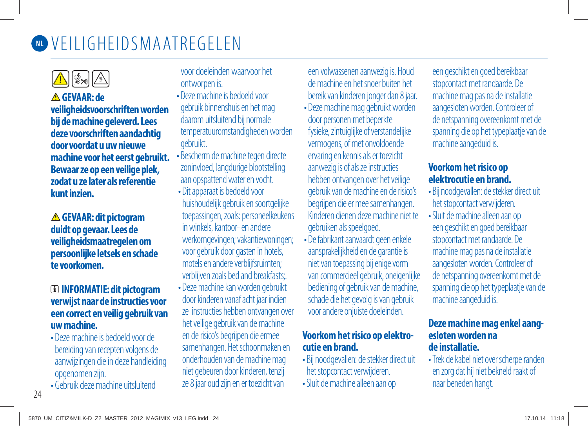

**GEVAAR: de veiligheidsvoorschriften worden bij de machine geleverd. Lees deze voorschriften aandachtig door voordat u uw nieuwe machine voor het eerst gebruikt. Bewaar ze op een veilige plek, zodat u ze later als referentie kunt inzien.**

**GEVAAR: dit pictogram duidt op gevaar. Lees de veiligheidsmaatregelen om persoonlijke letsels en schade te voorkomen.**

#### **INFORMATIE: dit pictogram verwijst naar de instructies voor een correct en veilig gebruik van uw machine.**

- Deze machine is bedoeld voor de bereiding van recepten volgens de aanwijzingen die in deze handleiding opgenomen zijn.
- Gebruik deze machine uitsluitend

voor doeleinden waarvoor het ontworpen is.

- Deze machine is bedoeld voor gebruik binnenshuis en het mag daarom uitsluitend bij normale temperatuuromstandigheden worden gebruikt.
- Bescherm de machine tegen directe zoninvloed, langdurige blootstelling aan opspattend water en vocht.
- Dit apparaat is bedoeld voor huishoudelijk gebruik en soortgelijke toepassingen, zoals: personeelkeukens in winkels, kantoor- en andere werkomgevingen; vakantiewoningen; voor gebruik door gasten in hotels, motels en andere verblijfsruimten; verblijven zoals bed and breakfasts;.
- Deze machine kan worden gebruikt door kinderen vanaf acht jaar indien ze instructies hebben ontvangen over het veilige gebruik van de machine en de risico's begrijpen die ermee samenhangen. Het schoonmaken en onderhouden van de machine mag niet gebeuren door kinderen, tenzij ze 8 jaar oud zijn en er toezicht van

een volwassenen aanwezig is. Houd de machine en het snoer buiten het bereik van kinderen jonger dan 8 jaar.

- Deze machine mag gebruikt worden door personen met beperkte fysieke, zintuiglijke of verstandelijke vermogens, of met onvoldoende ervaring en kennis als er toezicht aanwezig is of als ze instructies hebben ontvangen over het veilige gebruik van de machine en de risico's begrijpen die er mee samenhangen. Kinderen dienen deze machine niet te gebruiken als speelgoed.
- De fabrikant aanvaardt geen enkele aansprakelijkheid en de garantie is niet van toepassing bij enige vorm van commercieel gebruik, oneigenlijke bediening of gebruik van de machine, schade die het gevolg is van gebruik voor andere onjuiste doeleinden.

#### **Voorkom het risico op elektrocutie en brand.**

- Bij noodgevallen: de stekker direct uit het stopcontact verwijderen.
- Sluit de machine alleen aan op

een geschikt en goed bereikbaar stopcontact met randaarde. De machine mag pas na de installatie aangesloten worden. Controleer of de netspanning overeenkomt met de spanning die op het typeplaatje van de machine aangeduid is.

#### **Voorkom het risico op elektrocutie en brand.**

- Bij noodgevallen: de stekker direct uit het stopcontact verwijderen.
- Sluit de machine alleen aan op een geschikt en goed bereikbaar stopcontact met randaarde. De machine mag pas na de installatie aangesloten worden. Controleer of de netspanning overeenkomt met de spanning die op het typeplaatje van de machine aangeduid is.

#### **Deze machine mag enkel aangesloten worden na de installatie.**

 • Trek de kabel niet over scherpe randen en zorg dat hij niet bekneld raakt of naar beneden hangt.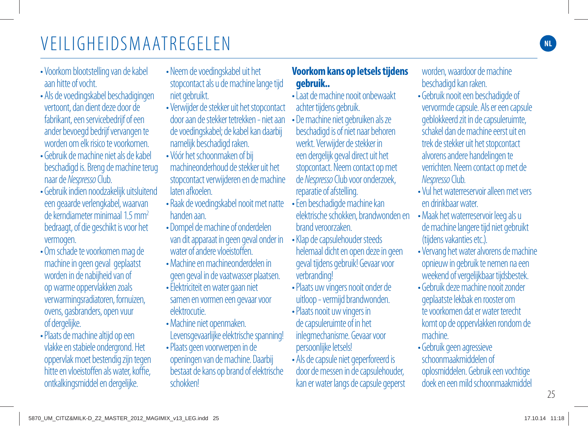- Voorkom blootstelling van de kabel aan hitte of vocht.
- Als de voedingskabel beschadigingen vertoont, dan dient deze door de fabrikant, een servicebedrijf of een ander bevoegd bedrijf vervangen te worden om elk risico te voorkomen.
- Gebruik de machine niet als de kabel beschadigd is. Breng de machine terug naar de Nespresso Club.
- Gebruik indien noodzakelijk uitsluitend een geaarde verlengkabel, waarvan de kerndiameter minimaal 1.5 mm<sup>2</sup> bedraagt, of die geschikt is voor het vermogen.
- Om schade te voorkomen mag de machine in geen geval geplaatst worden in de nabijheid van of op warme oppervlakken zoals verwarmingsradiatoren, fornuizen, ovens, gasbranders, open vuur of dergelijke.
- Plaats de machine altijd op een vlakke en stabiele ondergrond. Het oppervlak moet bestendig zijn tegen hitte en vloeistoffen als water, koffie, ontkalkingsmiddel en dergelijke.
- Neem de voedingskabel uit het stopcontact als u de machine lange tijd niet gebruikt.
- Verwijder de stekker uit het stopcontact door aan de stekker tetrekken - niet aan de voedingskabel; de kabel kan daarbij namelijk beschadigd raken.
- Vóór het schoonmaken of bij machineonderhoud de stekker uit het stopcontact verwijderen en de machine laten afkoelen.
- Raak de voedingskabel nooit met natte handen aan.
- Dompel de machine of onderdelen van dit apparaat in geen geval onder in water of andere vloeistoffen.
- Machine en machineonderdelen in geen geval in de vaatwasser plaatsen.
- Elektriciteit en water gaan niet samen en vormen een gevaar voor elektrocutie.
- Machine niet openmaken. Levensgevaarlijke elektrische spanning!
- Plaats geen voorwerpen in de openingen van de machine. Daarbij bestaat de kans op brand of elektrische schokken!

#### **Voorkom kans op letsels tijdens gebruik..**

- Laat de machine nooit onbewaakt achter tijdens gebruik.
- De machine niet gebruiken als ze beschadigd is of niet naar behoren werkt. Verwijder de stekker in een dergelijk geval direct uit het stopcontact. Neem contact op met de Nespresso Club voor onderzoek, reparatie of afstelling.
- Een beschadigde machine kan elektrische schokken, brandwonden en brand veroorzaken.
- Klap de capsulehouder steeds helemaal dicht en open deze in geen geval tijdens gebruik! Gevaar voor verbranding!
- Plaats uw vingers nooit onder de uitloop - vermijd brandwonden.
- Plaats nooit uw vingers in de capsuleruimte of in het inlegmechanisme. Gevaar voor persoonlijke letsels!
- Als de capsule niet geperforeerd is door de messen in de capsulehouder, kan er water langs de capsule geperst

worden, waardoor de machine beschadigd kan raken.

- Gebruik nooit een beschadigde of vervormde capsule. Als er een capsule geblokkeerd zit in de capsuleruimte, schakel dan de machine eerst uit en trek de stekker uit het stopcontact alvorens andere handelingen te verrichten. Neem contact op met de Nespresso Club.
- Vul het waterreservoir alleen met vers en drinkbaar water.
- Maak het waterreservoir leeg als u de machine langere tijd niet gebruikt (tijdens vakanties etc.).
- Vervang het water alvorens de machine opnieuw in gebruik te nemen na een weekend of vergelijkbaar tijdsbestek.
- Gebruik deze machine nooit zonder geplaatste lekbak en rooster om te voorkomen dat er water terecht komt op de oppervlakken rondom de machine.
- Gebruik geen agressieve schoonmaakmiddelen of oplosmiddelen. Gebruik een vochtige doek en een mild schoonmaakmiddel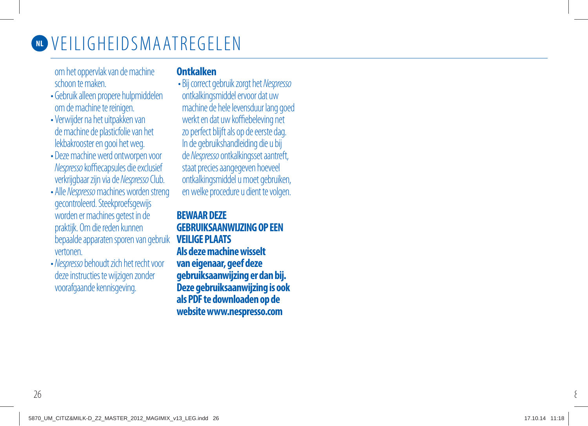

om het oppervlak van de machine schoon te maken.

- Gebruik alleen propere hulpmiddelen om de machine te reinigen.
- Verwijder na het uitpakken van de machine de plasticfolie van het lekbakrooster en gooi het weg.
- Deze machine werd ontworpen voor Nespresso koffiecapsules die exclusief verkrijgbaar zijn via de Nespresso Club.
- Alle Nespresso machines worden streng gecontroleerd. Steekproefsgewijs worden er machines getest in de praktijk. Om die reden kunnen bepaalde apparaten sporen van gebruik vertonen.
- Nespresso behoudt zich het recht voor deze instructies te wijzigen zonder voorafgaande kennisgeving.

#### **Ontkalken**

 • Bij correct gebruik zorgt het Nespresso ontkalkingsmiddel ervoor dat uw machine de hele levensduur lang goed werkt en dat uw koffiebeleving net zo perfect blijft als op de eerste dag. In de gebruikshandleiding die u bij de Nespresso ontkalkingsset aantreft, staat precies aangegeven hoeveel ontkalkingsmiddel u moet gebruiken, en welke procedure u dient te volgen.

#### **BEWAAR DEZE GEBRUIKSAANWIJZING OP EEN VEILIGE PLAATS Als deze machine wisselt**

**van eigenaar, geef deze gebruiksaanwijzing er dan bij. Deze gebruiksaanwijzing is ook als PDF te downloaden op de website www.nespresso.com** 

8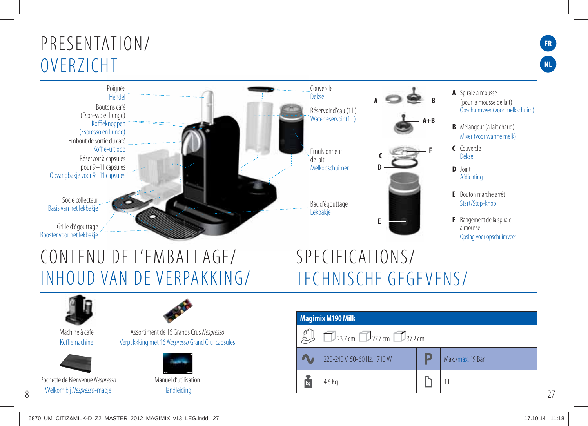### PRESENTATION/ OVERZICHT



### CONTENU DE L'EMBALLAGE/ INHOUD VAN DE VERPAKKING/

# SPECIFICATIONS/ TECHNISCHE GEGEVENS/



Machine à café Koffiemachine



Pochette de Bienvenue Nespresso Welkom bij Nespresso-mapje



Assortiment de 16 Grands Crus Nespresso Verpakkking met 16 Nespresso Grand Cru-capsules



Manuel d'utilisation **Handleiding** 

| <b>Magimix M190 Milk</b> |                                              |  |                  |
|--------------------------|----------------------------------------------|--|------------------|
|                          | $\Box$ 23.7 cm $\Box$ 27.7 cm $\Box$ 37.2 cm |  |                  |
|                          | 220-240 V, 50-60 Hz, 1710 W                  |  | Max./max. 19 Bar |
| kg                       | 4.6 Kg                                       |  |                  |

27

**FR**

**NL**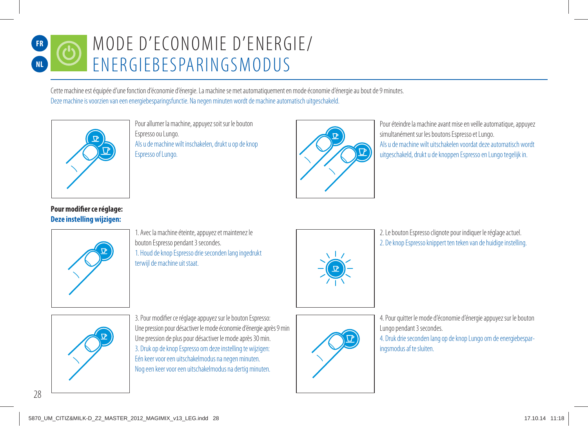#### MODE D'ECONOMIE D'ENERGIE/ ENERGIEBESPARINGSMODUS **FR NL**

Cette machine est équipée d'une fonction d'économie d'énergie. La machine se met automatiquement en mode économie d'énergie au bout de 9 minutes. Deze machine is voorzien van een energiebesparingsfunctie. Na negen minuten wordt de machine automatisch uitgeschakeld.



Pour allumer la machine, appuyez soit sur le bouton Espresso ou Lungo. Als u de machine wilt inschakelen, drukt u op de knop Espresso of Lungo.



Pour éteindre la machine avant mise en veille automatique, appuyez simultanément sur les boutons Espresso et Lungo. Als u de machine wilt uitschakelen voordat deze automatisch wordt uitgeschakeld, drukt u de knoppen Espresso en Lungo tegelijk in.

#### **Pour modifier ce réglage: Deze instelling wijzigen:**





2. Le bouton Espresso clignote pour indiquer le réglage actuel. 2. De knop Espresso knippert ten teken van de huidige instelling.



3. Pour modifier ce réglage appuyez sur le bouton Espresso: Une pression pour désactiver le mode économie d'énergie après 9 min Une pression de plus pour désactiver le mode après 30 min. 3. Druk op de knop Espresso om deze instelling te wijzigen: Eén keer voor een uitschakelmodus na negen minuten. Nog een keer voor een uitschakelmodus na dertig minuten.



4. Pour quitter le mode d'économie d'énergie appuyez sur le bouton Lungo pendant 3 secondes.

4. Druk drie seconden lang op de knop Lungo om de energiebesparingsmodus af te sluiten.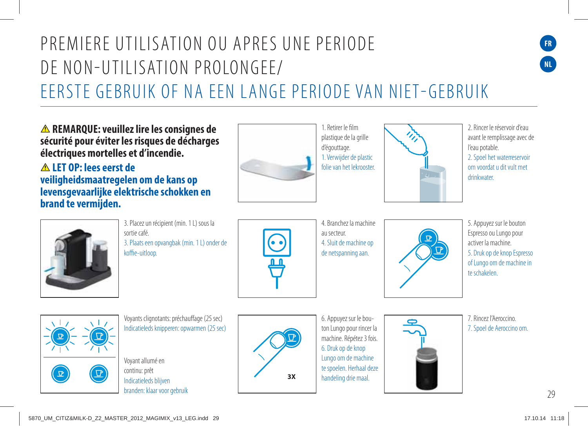## PREMIERE UTILISATION OU APRES UNE PERIODE DE NON-UTILISATION PROLONGEE/ EERSTE GEBRUIK OF NA EEN LANGE PERIODE VAN NIET-GEBRUIK

**REMARQUE: veuillez lire les consignes de sécurité pour éviter les risques de décharges électriques mortelles et d'incendie.**

 **LET OP: lees eerst de veiligheidsmaatregelen om de kans op levensgevaarlijke elektrische schokken en brand te vermijden.**



1. Retirer le film plastique de la grille 1. Verwijder de plastic folie van het lekrooster.



2. Rincer le réservoir d'eau avant le remplissage avec de l'eau potable. 2. Spoel het waterreservoir om voordat u dit vult met drinkwater.

**FR**

**NL**



3. Placez un récipient (min. 1 L) sous la sortie café. 3. Plaats een opvangbak (min. 1 L) onder de koffie-uitloop.



4. Branchez la machine au secteur. 4. Sluit de machine op de netspanning aan.



5. Appuyez sur le bouton Espresso ou Lungo pour activer la machine. 5. Druk op de knop Espresso of Lungo om de machine in te schakelen.



Voyants clignotants: préchauffage (25 sec) Indicatieleds knipperen: opwarmen (25 sec)

Voyant allumé en continu: prêt Indicatieleds blijven branden: klaar voor gebruik



6. Appuyez sur le bouton Lungo pour rincer la machine. Répétez 3 fois. 6. Druk op de knop Lungo om de machine te spoelen. Herhaal deze handeling drie maal.



7. Rincez l'Aeroccino. 7. Spoel de Aeroccino om.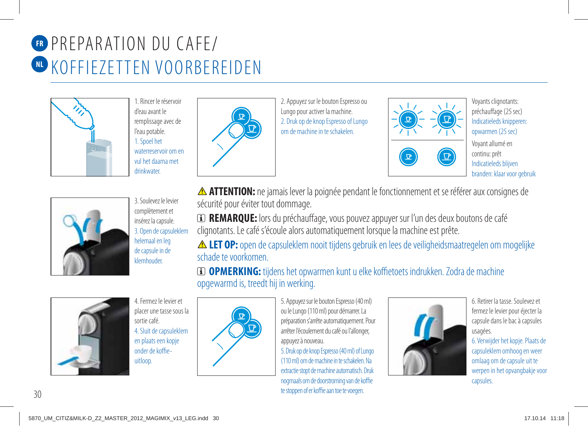# **ER PREPARATION DU CAFE/** KOFFIEZETTEN VOORBEREIDEN **NL**



1. Rincer le réservoir d'eau avant le remplissage avec de l'eau potable. 1. Spoel het waterreservoir om en vul het daarna met **drinkwater** 



2. Appuyez sur le bouton Espresso ou Lungo pour activer la machine. 2. Druk op de knop Espresso of Lungo om de machine in te schakelen.





Voyants clignotants: préchauffage (25 sec) Indicatieleds knipperen: opwarmen (25 sec) Voyant allumé en continu: prêt Indicatieleds blijven branden: klaar voor gebruik



3. Soulevez le levier complètement et insérez la capsule. 3. Open de capsuleklem helemaal en leg de capsule in de klemhouder.

 **ATTENTION:** ne jamais lever la poignée pendant le fonctionnement et se référer aux consignes de sécurité pour éviter tout dommage.

 **REMARQUE:** lors du préchauffage, vous pouvez appuyer sur l'un des deux boutons de café clignotants. Le café s'écoule alors automatiquement lorsque la machine est prête.

 $\triangle$  **LET OP:** open de capsuleklem nooit tijdens gebruik en lees de veiligheidsmaatregelen om mogelijke schade te voorkomen.

 **OPMERKING:** tijdens het opwarmen kunt u elke koffietoets indrukken. Zodra de machine opgewarmd is, treedt hij in werking.



4. Fermez le levier et placer une tasse sous la sortie café. 4. Sluit de capsuleklem en plaats een kopje onder de koffieuitloop.



5. Appuyez sur le bouton Espresso (40 ml) ou le Lungo (110 ml) pour démarrer. La préparation s'arrête automatiquement. Pour arrêter l'écoulement du café ou l'allonger, appuyez à nouveau. 5. Druk op de knop Espresso (40 ml) of Lungo

(110 ml) om de machine in te schakelen. Na extractie stopt de machine automatisch. Druk nogmaals om de doorstroming van de koffie te stoppen of er koffie aan toe te voegen.



6. Retirer la tasse. Soulevez et fermez le levier pour éjecter la capsule dans le bac à capsules usagées. 6. Verwijder het kopje. Plaats de capsuleklem omhoog en weer omlaag om de capsule uit te werpen in het opvangbakje voor capsules.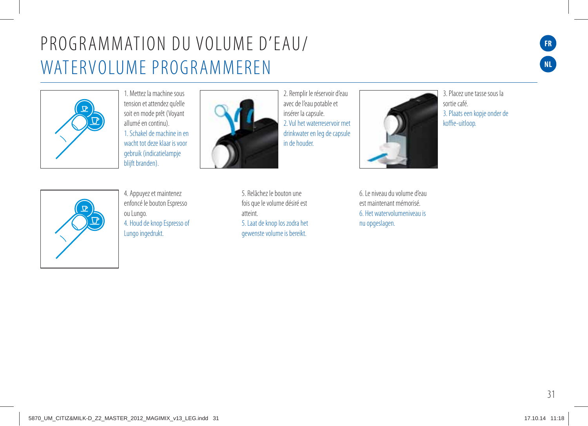## PROGRAMMATION DU VOLUME D'EAU/ WATERVOLUME PROGRAMMEREN



1. Mettez la machine sous tension et attendez qu'elle soit en mode prêt (Voyant allumé en continu). 1. Schakel de machine in en wacht tot deze klaar is voor gebruik (indicatielampje blijft branden).



2. Remplir le réservoir d'eau avec de l'eau potable et insérer la capsule. 2. Vul het waterreservoir met drinkwater en leg de capsule in de houder.

5. Relâchez le bouton une fois que le volume désiré est atteint. 5. Laat de knop los zodra het gewenste volume is bereikt.

6. Le niveau du volume d'eau est maintenant mémorisé. 6. Het watervolumeniveau is

nu opgeslagen.

3. Placez une tasse sous la sortie café. 3. Plaats een kopje onder de koffie-uitloop.



4. Appuyez et maintenez enfoncé le bouton Espresso ou Lungo. 4. Houd de knop Espresso of Lungo ingedrukt.

31 36 37

**FR**

**NL**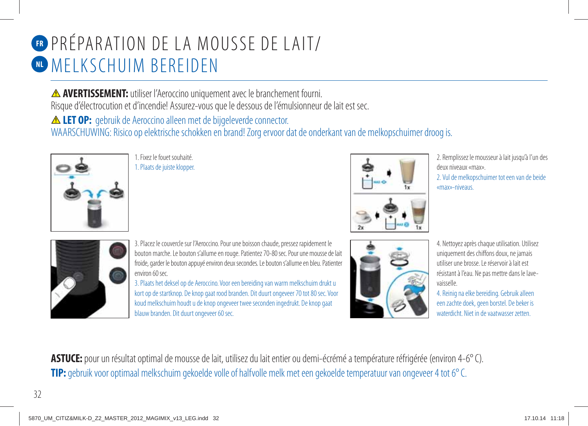# PRÉPARATION DE LA MOUSSE DE LAIT/ **FR W MELKSCHUIM BEREIDEN**

 **AVERTISSEMENT:** utiliser l'Aeroccino uniquement avec le branchement fourni. Risque d'électrocution et d'incendie! Assurez-vous que le dessous de l'émulsionneur de lait est sec.

**ALET OP:** gebruik de Aeroccino alleen met de bijgeleverde connector. WAARSCHUWING: Risico op elektrische schokken en brand! Zorg ervoor dat de onderkant van de melkopschuimer droog is.



1. Fixez le fouet souhaité. 1. Plaats de juiste klopper.



2. Remplissez le mousseur à lait jusqu'à l'un des deux niveaux «max».

2. Vul de melkopschuimer tot een van de beide «max»-niveaus.



3. Placez le couvercle sur l'Aeroccino. Pour une boisson chaude, pressez rapidement le bouton marche. Le bouton s'allume en rouge. Patientez 70-80 sec. Pour une mousse de lait froide, garder le bouton appuyé environ deux secondes. Le bouton s'allume en bleu. Patienter environ 60 sec.

3. Plaats het deksel op de Aeroccino. Voor een bereiding van warm melkschuim drukt u kort op de startknop. De knop gaat rood branden. Dit duurt ongeveer 70 tot 80 sec. Voor koud melkschuim houdt u de knop ongeveer twee seconden ingedrukt. De knop gaat blauw branden. Dit duurt ongeveer 60 sec.



4. Nettoyez après chaque utilisation. Utilisez uniquement des chiffons doux, ne jamais utiliser une brosse. Le réservoir à lait est résistant à l'eau. Ne pas mettre dans le lavevaisselle.

4. Reinig na elke bereiding. Gebruik alleen een zachte doek, geen borstel. De beker is waterdicht. Niet in de vaatwasser zetten.

**ASTUCE:** pour un résultat optimal de mousse de lait, utilisez du lait entier ou demi-écrémé a température réfrigérée (environ 4-6° C). **TIP:** gebruik voor optimaal melkschuim gekoelde volle of halfvolle melk met een gekoelde temperatuur van ongeveer 4 tot 6° C.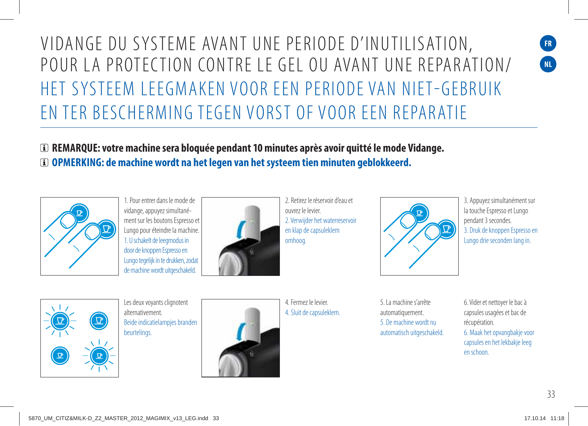## VIDANGE DU SYSTEME AVANT UNE PERIODE D'INUTILISATION, POUR LA PROTECTION CONTRE LE GEL OU AVANT UNE REPARATION/ HET SYSTEEM LEEGMAKEN VOOR EEN PERIODE VAN NIET-GEBRUIK EN TER BESCHERMING TEGEN VORST OF VOOR EEN REPARATIE

 **REMARQUE: votre machine sera bloquée pendant 10 minutes après avoir quitté le mode Vidange. OPMERKING: de machine wordt na het legen van het systeem tien minuten geblokkeerd.**



1. Pour entrer dans le mode de vidange, appuyez simultanément sur les boutons Espresso et Lungo pour éteindre la machine. 1. U schakelt de leegmodus in door de knoppen Espresso en Lungo tegelijk in te drukken, zodat de machine wordt uitgeschakeld.



2. Retirez le réservoir d'eau et ouvrez le levier. 2. Verwijder het waterreservoir en klap de capsuleklem omhoog.



3. Appuyez simultanément sur la touche Espresso et Lungo pendant 3 secondes. 3. Druk de knoppen Espresso en Lungo drie seconden lang in.



Les deux voyants clignotent alternativement. Beide indicatielampjes branden beurtelings.



4. Fermez le levier. 4. Sluit de capsuleklem.

5. La machine s'arrête automatiquement. 5. De machine wordt nu automatisch uitgeschakeld.

6. Vider et nettoyer le bac à capsules usagées et bac de récupération. 6. Maak het opvangbakje voor capsules en het lekbakje leeg en schoon.

33

**FR NL**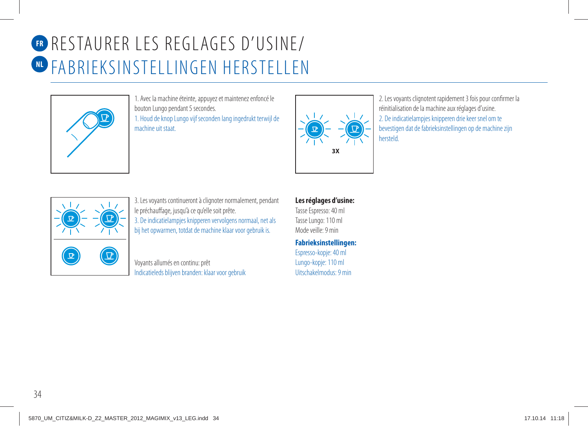# **R** RESTAURER LES REGLAGES D'USINE/ FABRIEKSINSTELLINGEN HERSTELLEN **NL**



1. Avec la machine éteinte, appuyez et maintenez enfoncé le bouton Lungo pendant 5 secondes. 1. Houd de knop Lungo vijf seconden lang ingedrukt terwijl de machine uit staat.



2. Les voyants clignotent rapidement 3 fois pour confirmer la réinitialisation de la machine aux réglages d'usine. 2. De indicatielampjes knipperen drie keer snel om te bevestigen dat de fabrieksinstellingen op de machine zijn hersteld.



3. Les voyants continueront à clignoter normalement, pendant le préchauffage, jusqu'à ce qu'elle soit prête. 3. De indicatielampjes knipperen vervolgens normaal, net als bij het opwarmen, totdat de machine klaar voor gebruik is.

Voyants allumés en continu: prêt Indicatieleds blijven branden: klaar voor gebruik

#### **Les réglages d'usine:**

Tasse Espresso: 40 ml Tasse Lungo: 110 ml Mode veille: 9 min

**Fabrieksinstellingen:** Espresso-kopje: 40 ml Lungo-kopje: 110 ml Uitschakelmodus: 9 min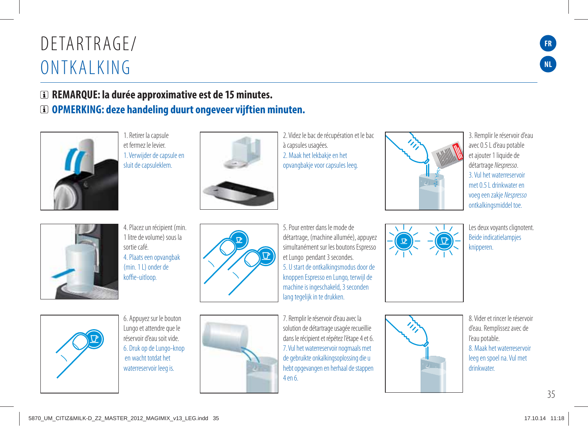### DFTARTRAGE/ ONTKALKING

### **REMARQUE: la durée approximative est de 15 minutes. OPMERKING: deze handeling duurt ongeveer vijftien minuten.**



1. Retirer la capsule et fermez le levier. 1. Verwijder de capsule en sluit de capsuleklem.



2. Videz le bac de récupération et le bac à capsules usagées. 2. Maak het lekbakje en het opvangbakje voor capsules leeg.



3. Remplir le réservoir d'eau avec 0.5 L d'eau potable et ajouter 1 liquide de détartrage Nespresso. 3. Vul het waterreservoir met 0.5 L drinkwater en voeg een zakje Nespresso ontkalkingsmiddel toe.



4. Placez un récipient (min. 1 litre de volume) sous la sortie café. 4. Plaats een opvangbak (min. 1 L) onder de koffie-uitloop.



5. Pour entrer dans le mode de détartrage, (machine allumée), appuyez simultanément sur les boutons Espresso et Lungo pendant 3 secondes. 5. U start de ontkalkingsmodus door de knoppen Espresso en Lungo, terwijl de machine is ingeschakeld, 3 seconden lang tegelijk in te drukken.

7. Remplir le réservoir d'eau avec la solution de détartrage usagée recueillie dans le récipient et répétez l'étape 4 et 6. 7. Vul het waterreservoir nogmaals met de gebruikte onkalkingsoplossing die u hebt opgevangen en herhaal de stappen 4 en 6.

Les deux voyants clignotent. Beide indicatielampjes knipperen.

8. Vider et rincer le réservoir d'eau. Remplissez avec de l'eau potable. 8. Maak het waterreservoir leeg en spoel na. Vul met drinkwater.



6. Appuyez sur le bouton Lungo et attendre que le réservoir d'eau soit vide. 6. Druk op de Lungo-knop en wacht totdat het waterreservoir leeg is.





**FR**

**NL**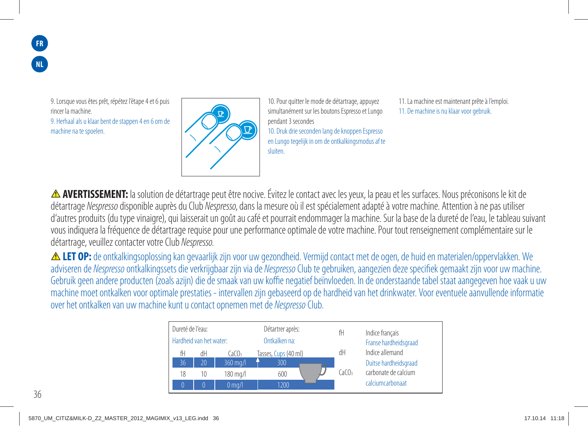9. Lorsque vous êtes prêt, répétez l'étape 4 et 6 puis rincer la machine. 9. Herhaal als u klaar bent de stappen 4 en 6 om de machine na te spoelen.



10. Pour quitter le mode de détartrage, appuyez simultanément sur les boutons Espresso et Lungo pendant 3 secondes 10. Druk drie seconden lang de knoppen Espresso en Lungo tegelijk in om de ontkalkingsmodus af te sluiten.

11. La machine est maintenant prête à l'emploi. 11. De machine is nu klaar voor gebruik.

**AVERTISSEMENT:** la solution de détartrage peut être nocive. Évitez le contact avec les yeux, la peau et les surfaces. Nous préconisons le kit de détartrage Nespresso disponible auprès du Club Nespresso, dans la mesure où il est spécialement adapté à votre machine. Attention à ne pas utiliser d'autres produits (du type vinaigre), qui laisserait un goût au café et pourrait endommager la machine. Sur la base de la dureté de l'eau, le tableau suivant vous indiquera la fréquence de détartrage requise pour une performance optimale de votre machine. Pour tout renseignement complémentaire sur le détartrage, veuillez contacter votre Club Nespresso.

**ALET OP:** de ontkalkingsoplossing kan gevaarlijk zijn voor uw gezondheid. Vermijd contact met de ogen, de huid en materialen/oppervlakken. We adviseren de Nespresso ontkalkingssets die verkrijgbaar zijn via de Nespresso Club te gebruiken, aangezien deze specifiek gemaakt zijn voor uw machine. Gebruik geen andere producten (zoals azijn) die de smaak van uw koffie negatief beïnvloeden. In de onderstaande tabel staat aangegeven hoe vaak u uw machine moet ontkalken voor optimale prestaties - intervallen zijn gebaseerd op de hardheid van het drinkwater. Voor eventuele aanvullende informatie over het ontkalken van uw machine kunt u contact opnemen met de Nespresso Club.

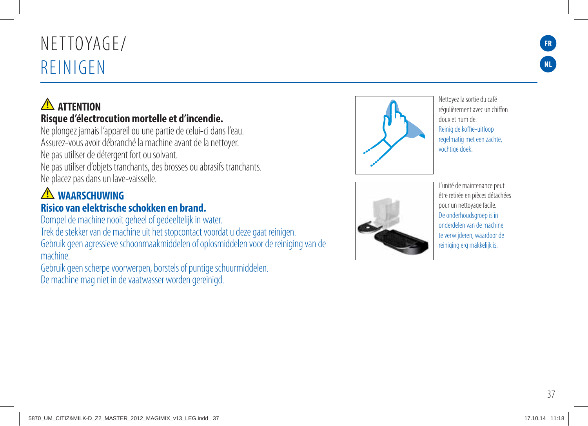# NFTTOYAGE/ REINIGEN

### **A** ATTENTION **Risque d'électrocution mortelle et d'incendie.**

Ne plongez jamais l'appareil ou une partie de celui-ci dans l'eau. Assurez-vous avoir débranché la machine avant de la nettoyer. Ne pas utiliser de détergent fort ou solvant. Ne pas utiliser d'objets tranchants, des brosses ou abrasifs tranchants.

Ne placez pas dans un lave-vaisselle.

### **A** WAARSCHUWING **Risico van elektrische schokken en brand.**

Dompel de machine nooit geheel of gedeeltelijk in water.

Trek de stekker van de machine uit het stopcontact voordat u deze gaat reinigen. Gebruik geen agressieve schoonmaakmiddelen of oplosmiddelen voor de reiniging van de machine.

Gebruik geen scherpe voorwerpen, borstels of puntige schuurmiddelen. De machine mag niet in de vaatwasser worden gereinigd.



Nettoyez la sortie du café régulièrement avec un chiffon doux et humide. Reinig de koffie-uitloop regelmatig met een zachte, vochtige doek.



L'unité de maintenance peut être retirée en pièces détachées pour un nettoyage facile. De onderhoudsgroep is in onderdelen van de machine te verwijderen, waardoor de reiniging erg makkelijk is.

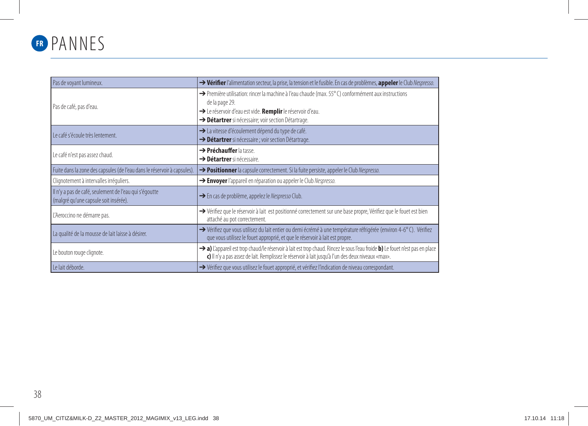

| Pas de voyant lumineux.                                                                         | → Vérifier l'alimentation secteur, la prise, la tension et le fusible. En cas de problèmes, appeler le Club Nespresso.                                                                                                                    |
|-------------------------------------------------------------------------------------------------|-------------------------------------------------------------------------------------------------------------------------------------------------------------------------------------------------------------------------------------------|
| Pas de café, pas d'eau.                                                                         | → Première utilisation: rincer la machine à l'eau chaude (max. 55°C) conformément aux instructions<br>de la page 29.<br>→ Le réservoir d'eau est vide. Remplir le réservoir d'eau.<br>> Détartrer si nécessaire; voir section Détartrage. |
| Le café s'écoule très lentement.                                                                | > La vitesse d'écoulement dépend du type de café.<br>> Détartrer si nécessaire ; voir section Détartrage.                                                                                                                                 |
| Le café n'est pas assez chaud.                                                                  | $\rightarrow$ Préchauffer la tasse.<br>→ Détartrer si nécessaire.                                                                                                                                                                         |
| Fuite dans la zone des capsules (de l'eau dans le réservoir à capsules).                        | → Positionner la capsule correctement. Si la fuite persiste, appeler le Club Nespresso.                                                                                                                                                   |
| Clignotement à intervalles irréguliers.                                                         | > Envoyer l'appareil en réparation ou appeler le Club Nespresso.                                                                                                                                                                          |
| Il n'y a pas de café, seulement de l'eau qui s'égoutte<br>(malgré qu'une capsule soit insérée). | Sen cas de problème, appelez le Nespresso Club.                                                                                                                                                                                           |
| L'Aeroccino ne démarre pas.                                                                     | → Vérifiez que le réservoir à lait est positionné correctement sur une base propre, Vérifiez que le fouet est bien<br>attaché au pot correctement.                                                                                        |
| La qualité de la mousse de lait laisse à désirer.                                               | → Vérifiez que vous utilisez du lait entier ou demi écrémé à une température réfrigérée (environ 4-6°C). Vérifiez<br>que vous utilisez le fouet approprié, et que le réservoir à lait est propre.                                         |
| Le bouton rouge clignote.                                                                       | → a) L'appareil est trop chaud/le réservoir à lait est trop chaud. Rincez le sous l'eau froide b) Le fouet n'est pas en place<br>c) Il n'y a pas assez de lait. Remplissez le réservoir à lait jusqu'à l'un des deux niveaux «max».       |
| Le lait déborde.                                                                                | → Vérifiez que vous utilisez le fouet approprié, et vérifiez l'indication de niveau correspondant.                                                                                                                                        |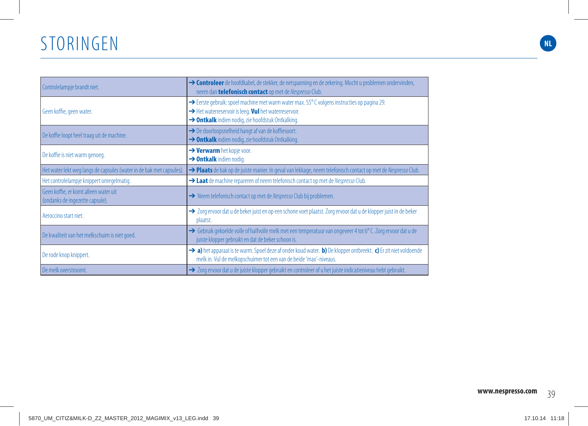### STORINGEN

| Controlelampje brandt niet.                                              | → Controleer de hoofdkabel, de stekker, de netspanning en de zekering. Mocht u problemen ondervinden,<br>neem dan telefonisch contact op met de Nespresso Club.                                             |
|--------------------------------------------------------------------------|-------------------------------------------------------------------------------------------------------------------------------------------------------------------------------------------------------------|
| Geen koffie, geen water.                                                 | → Eerste gebruik: spoel machine met warm water max. 55° C volgens instructies op pagina 29.<br>Arr Het waterreservoir is leeg. Vul het waterreservoir.<br>> Ontkalk indien nodig, zie hoofdstuk Ontkalking. |
| De koffie loopt heel traag uit de machine.                               | $\rightarrow$ De doorloopsnelheid hangt af van de koffiesoort.<br>> Ontkalk indien nodig, zie hoofdstuk Ontkalking.                                                                                         |
| De koffie is niet warm genoeg.                                           | $\rightarrow$ Verwarm het kopje voor.<br>$\rightarrow$ Ontkalk indien nodig.                                                                                                                                |
| Het water lekt weg langs de capsules (water in de bak met capsules).     | > Plaats de bak op de juiste manier. In geval van lekkage, neem telefonisch contact op met de Nespresso Club.                                                                                               |
| Het controlelampje knippert onregelmatig.                                | A Laat de machine repareren of neem telefonisch contact op met de Nespresso Club.                                                                                                                           |
| Geen koffie, er komt alleen water uit<br>(ondanks de ingezette capsule). | → Neem telefonisch contact op met de Nespresso Club bij problemen.                                                                                                                                          |
| Aeroccino start niet.                                                    | > Zorg ervoor dat u de beker juist en op een schone voet plaatst. Zorg ervoor dat u de klopper juist in de beker<br>plaatst.                                                                                |
| De kwaliteit van het melkschuim is niet goed.                            | → Gebruik gekoelde volle of halfvolle melk met een temperatuur van ongeveer 4 tot 6°C. Zorg ervoor dat u de<br>juiste klopper gebruikt en dat de beker schoon is.                                           |
| De rode knop knippert.                                                   | > a) het apparaat is te warm. Spoel deze af onder koud water. b) De klopper ontbreekt. c) Er zit niet voldoende<br>melk in. Vul de melkopschuimer tot een van de beide 'max'-niveaus.                       |
| De melk overstroomt.                                                     | → Zorg ervoor dat u de juiste klopper gebruikt en controleer of u het juiste indicatieniveau hebt gebruikt.                                                                                                 |

**NL**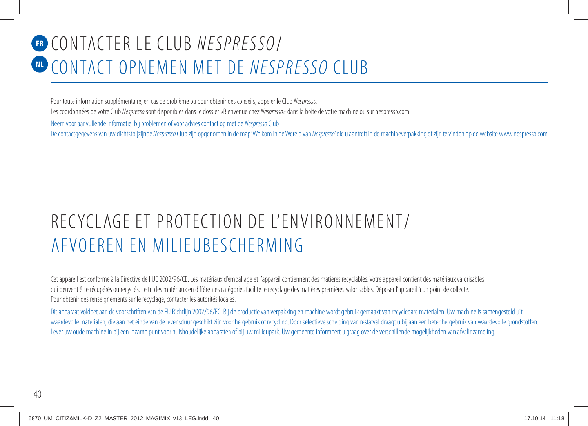# CONTACTER LE CLUB NESPRESSO/ **FR NL CONTACT OPNEMEN MET DE NESPRESSO CLUB**

Pour toute information supplémentaire, en cas de problème ou pour obtenir des conseils, appeler le Club Nespresso. Les coordonnées de votre Club Nespresso sont disponibles dans le dossier «Bienvenue chez Nespresso» dans la boîte de votre machine ou sur nespresso.com

Neem voor aanvullende informatie, bij problemen of voor advies contact op met de Nespresso Club.

De contactgegevens van uw dichtstbijzijnde Nespresso Club zijn opgenomen in de map 'Welkom in de Wereld van Nespresso' die u aantreft in de machineverpakking of zijn te vinden op de website www.nespresso.com

## RECYCLAGE ET PROTECTION DE L'ENVIRONNEMENT/ AFVOEREN EN MILIEUBESCHERMING

Cet appareil est conforme à la Directive de l'UE 2002/96/CE. Les matériaux d'emballage et l'appareil contiennent des matières recyclables. Votre appareil contient des matériaux valorisables qui peuvent être récupérés ou recyclés. Le tri des matériaux en différentes catégories facilite le recyclage des matières premières valorisables. Déposer l'appareil à un point de collecte. Pour obtenir des renseignements sur le recyclage, contacter les autorités locales.

Dit apparaat voldoet aan de voorschriften van de EU Richtlijn 2002/96/EC. Bij de productie van verpakking en machine wordt gebruik gemaakt van recyclebare materialen. Uw machine is samengesteld uit waardevolle materialen, die aan het einde van de levensduur geschikt zijn voor hergebruik of recycling. Door selectieve scheiding van restafval draagt u bij aan een beter hergebruik van waardevolle grondstoffen. Lever uw oude machine in bij een inzamelpunt voor huishoudelijke apparaten of bij uw milieupark. Uw gemeente informeert u graag over de verschillende mogelijkheden van afvalinzameling.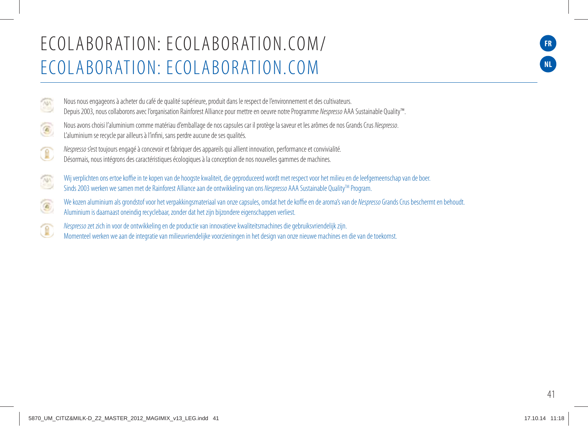### E CO L A B O R AT I O N: E CO L A B O R AT I O N.CO M/ ECOLABORATION: ECOLABORATION.COM

Nous nous engageons à acheter du café de qualité supérieure, produit dans le respect de l'environnement et des cultivateurs. Depuis 2003, nous collaborons avec l'organisation Rainforest Alliance pour mettre en oeuvre notre Programme Nespresso AAA Sustainable Quality™. Nous avons choisi l'aluminium comme matériau d'emballage de nos capsules car il protège la saveur et les arômes de nos Grands Crus Nespresso. L'aluminium se recycle par ailleurs à l'infini, sans perdre aucune de ses qualités. Nespresso s'est toujours engagé à concevoir et fabriquer des appareils qui allient innovation, performance et convivialité. Désormais, nous intégrons des caractéristiques écologiques à la conception de nos nouvelles gammes de machines.

Wij verplichten ons ertoe koffie in te kopen van de hoogste kwaliteit, die geproduceerd wordt met respect voor het milieu en de leefgemeenschap van de boer.  $\frac{1}{2}$ Sinds 2003 werken we samen met de Rainforest Alliance aan de ontwikkeling van ons Nespresso AAA Sustainable Quality<sup>TM</sup> Program.

We kozen aluminium als grondstof voor het verpakkingsmateriaal van onze capsules, omdat het de koffie en de aroma's van de Nespresso Grands Crus beschermt en behoudt.  $\textcircled{\footnotesize{1}}$ Aluminium is daarnaast oneindig recyclebaar, zonder dat het zijn bijzondere eigenschappen verliest.

Nespresso zet zich in voor de ontwikkeling en de productie van innovatieve kwaliteitsmachines die gebruiksvriendelijk zijn.

Momenteel werken we aan de integratie van milieuvriendelijke voorzieningen in het design van onze nieuwe machines en die van de toekomst.

**FR**

**NL**

 $\sqrt{101}$ 

C

 $\circledR$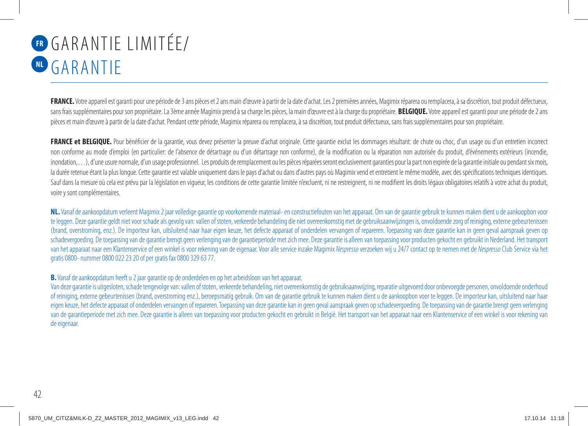# **ER GARANTIE LIMITÉE/** GARANTIE **NL**

**FRANCE.** Votre appareil est garanti pour une période de 3 ans pièces et 2 ans main d'œuvre à partir de la date d'achat. Les 2 premières années, Magimix réparera ou remplacera, à sa discrétion, tout produit défectueux, sans frais supplémentaires pour son propriétaire. La 3ème année Magimix prend à sa charge les pièces, la main d'œuvre est à la charge du propriétaire. **BELGIQUE.** Votre appareil est garanti pour une période de 2 ans pièces et main d'œuvre à partir de la date d'achat. Pendant cette période, Magimix réparera ou remplacera, à sa discrétion, tout produit défectueux, sans frais supplémentaires pour son propriétaire.

**FRANCE et BELGIQUE.** Pour bénéficier de la garantie, vous devez présenter la preuve d'achat originale. Cette garantie exclut les dommages résultant: de chute ou choc, d'un usage ou d'un entretien incorrect non conforme au mode d'emploi (en particulier: de l'absence de détartrage ou d'un détartrage non conforme), de la modification ou la réparation non autorisée du produit, d'événements extérieurs (incendie, inondation, ...), d'une usure normale, d'un usage professionnel. Les produits de remplacement ou les pièces réparées seront exclusivement garanties pour la part non expirée de la garantie initiale ou pendant six mois, la durée retenue étant la plus longue. Cette garantie est valable uniquement dans le pays d'achat ou dans d'autres pays où Magimix vend et entretient le même modèle, avec des spécifications techniques identiques. Sauf dans la mesure où cela est prévu par la législation en vigueur, les conditions de cette garantie limitée n'excluent, ni ne restreignent, ni ne modifient les droits légaux obligatoires relatifs à votre achat du produit voire y sont complémentaires.

**NL.** Vanaf de aankoopdatum verleent Magimix 2 jaar volledige garantie op voorkomende materiaal- en constructiefouten van het apparaat. Om van de garantie gebruik te kunnen maken dient u de aankoopbon voor te leggen. Deze garantie geldt niet voor schade als gevolg van: vallen of stoten, verkeerde behandeling die niet overeenkomstig met de gebruiksaanwijzingen is, onvoldoende zorg of reiniging, externe gebeurtenissen (brand, overstroming, enz.). De importeur kan, uitsluitend naar haar eigen keuze, het defecte apparaat of onderdelen vervangen of repareren. Toepassing van deze garantie kan in geen geval aanspraak geven op schadevergoeding. De toepassing van de garantie brengt geen verlenging van de garantieperiode met zich mee. Deze garantie is alleen van toepassing voor producten gekocht en gebruikt in Nederland. Het transport van het apparaat naar een Klantenservice of een winkel is voor rekening van de eigenaar. Voor alle service inzake Magimix Nespresso verzoeken wij u 24/7 contact op te nemen met de Nespresso Club Service via het gratis 0800- nummer 0800 022 23 20 of per gratis fax 0800 329 63 77.

#### **B.** Vanaf de aankoopdatum heeft u 2 jaar garantie op de onderdelen en op het arbeidsloon van het apparaat.

Van deze garantie is uitgesloten, schade tengevolge van: vallen of stoten, verkeerde behandeling, niet overeenkomstig de gebruiksaanwiizing, reparatie uitgevoerd door onbevoegde personen, onvoldoende onderhoud of reiniging, externe gebeurtenissen (brand, overstroming enz.), beroepsmatig gebruik. Om van de garantie gebruik te kunnen maken dient u de aankoopbon voor te leggen. De importeur kan, uitsluitend naar haar eigen keuze, het defecte apparaat of onderdelen vervangen of repareren. Toepassing van deze garantie kan in geen geval aanspraak geven op schadevergoeding. De toepassing van de garantie brengt geen verlenging van de garantieperiode met zich mee. Deze garantie is alleen van toepassing voor producten gekocht en gebruikt in België. Het transport van het apparaat naar een Klantenservice of een winkel is voor rekening van de eigenaar.